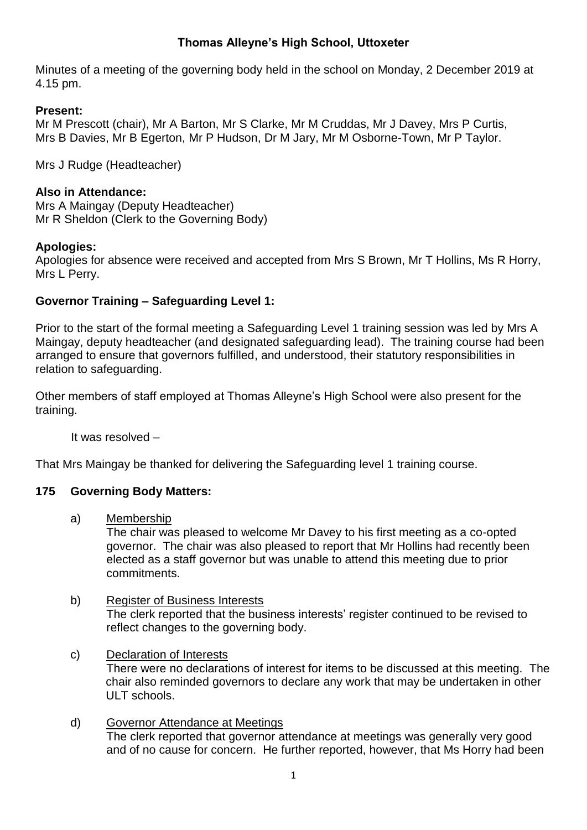# **Thomas Alleyne's High School, Uttoxeter**

Minutes of a meeting of the governing body held in the school on Monday, 2 December 2019 at 4.15 pm.

# **Present:**

Mr M Prescott (chair), Mr A Barton, Mr S Clarke, Mr M Cruddas, Mr J Davey, Mrs P Curtis, Mrs B Davies, Mr B Egerton, Mr P Hudson, Dr M Jary, Mr M Osborne-Town, Mr P Taylor.

Mrs J Rudge (Headteacher)

### **Also in Attendance:**

Mrs A Maingay (Deputy Headteacher) Mr R Sheldon (Clerk to the Governing Body)

# **Apologies:**

Apologies for absence were received and accepted from Mrs S Brown, Mr T Hollins, Ms R Horry, Mrs L Perry.

# **Governor Training – Safeguarding Level 1:**

Prior to the start of the formal meeting a Safeguarding Level 1 training session was led by Mrs A Maingay, deputy headteacher (and designated safeguarding lead). The training course had been arranged to ensure that governors fulfilled, and understood, their statutory responsibilities in relation to safeguarding.

Other members of staff employed at Thomas Alleyne's High School were also present for the training.

It was resolved –

That Mrs Maingay be thanked for delivering the Safeguarding level 1 training course.

# **175 Governing Body Matters:**

a) Membership

The chair was pleased to welcome Mr Davey to his first meeting as a co-opted governor. The chair was also pleased to report that Mr Hollins had recently been elected as a staff governor but was unable to attend this meeting due to prior commitments.

b) Register of Business Interests The clerk reported that the business interests' register continued to be revised to reflect changes to the governing body.

### c) Declaration of Interests

There were no declarations of interest for items to be discussed at this meeting. The chair also reminded governors to declare any work that may be undertaken in other ULT schools.

d) Governor Attendance at Meetings The clerk reported that governor attendance at meetings was generally very good and of no cause for concern. He further reported, however, that Ms Horry had been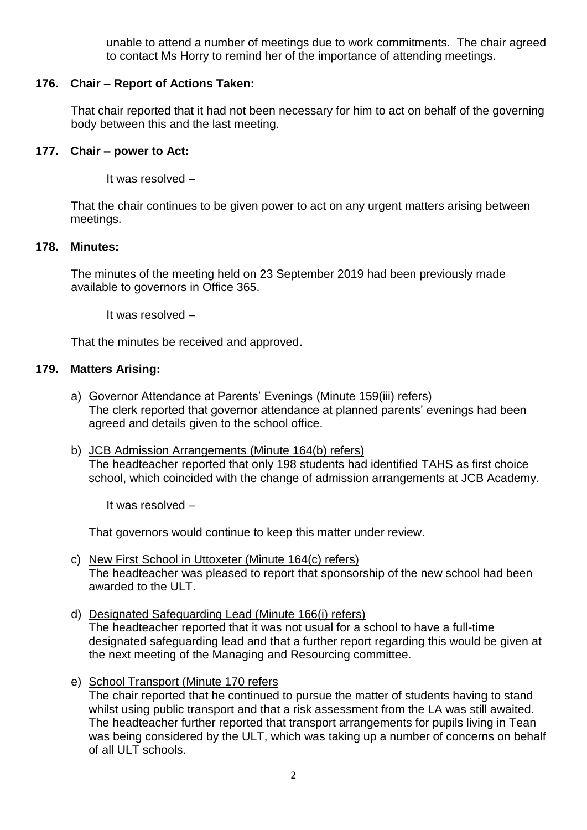unable to attend a number of meetings due to work commitments. The chair agreed to contact Ms Horry to remind her of the importance of attending meetings.

### **176. Chair – Report of Actions Taken:**

That chair reported that it had not been necessary for him to act on behalf of the governing body between this and the last meeting.

### **177. Chair – power to Act:**

It was resolved –

That the chair continues to be given power to act on any urgent matters arising between meetings.

### **178. Minutes:**

The minutes of the meeting held on 23 September 2019 had been previously made available to governors in Office 365.

It was resolved –

That the minutes be received and approved.

### **179. Matters Arising:**

- a) Governor Attendance at Parents' Evenings (Minute 159(iii) refers) The clerk reported that governor attendance at planned parents' evenings had been agreed and details given to the school office.
- b) JCB Admission Arrangements (Minute 164(b) refers) The headteacher reported that only 198 students had identified TAHS as first choice school, which coincided with the change of admission arrangements at JCB Academy.

It was resolved –

That governors would continue to keep this matter under review.

- c) New First School in Uttoxeter (Minute 164(c) refers) The headteacher was pleased to report that sponsorship of the new school had been awarded to the ULT.
- d) Designated Safeguarding Lead (Minute 166(i) refers) The headteacher reported that it was not usual for a school to have a full-time designated safeguarding lead and that a further report regarding this would be given at the next meeting of the Managing and Resourcing committee.
- e) School Transport (Minute 170 refers

The chair reported that he continued to pursue the matter of students having to stand whilst using public transport and that a risk assessment from the LA was still awaited. The headteacher further reported that transport arrangements for pupils living in Tean was being considered by the ULT, which was taking up a number of concerns on behalf of all ULT schools.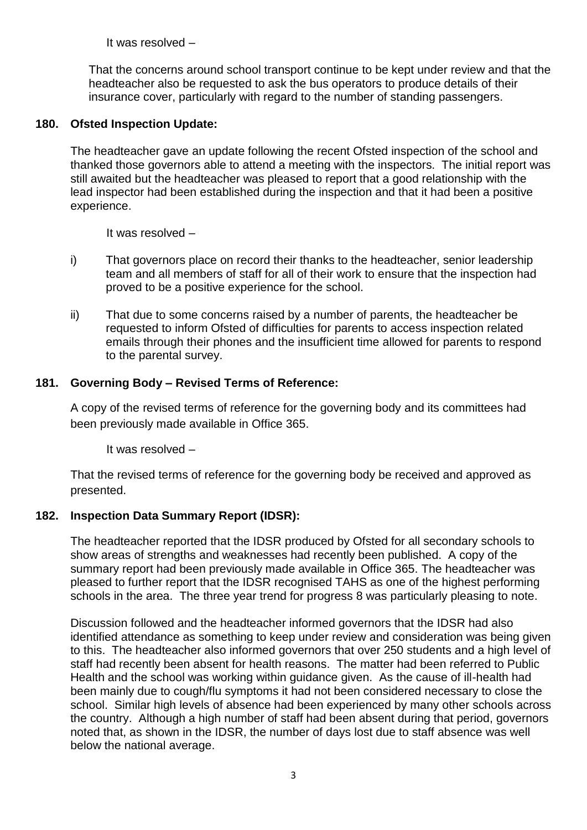It was resolved –

That the concerns around school transport continue to be kept under review and that the headteacher also be requested to ask the bus operators to produce details of their insurance cover, particularly with regard to the number of standing passengers.

# **180. Ofsted Inspection Update:**

The headteacher gave an update following the recent Ofsted inspection of the school and thanked those governors able to attend a meeting with the inspectors. The initial report was still awaited but the headteacher was pleased to report that a good relationship with the lead inspector had been established during the inspection and that it had been a positive experience.

It was resolved –

- i) That governors place on record their thanks to the headteacher, senior leadership team and all members of staff for all of their work to ensure that the inspection had proved to be a positive experience for the school.
- ii) That due to some concerns raised by a number of parents, the headteacher be requested to inform Ofsted of difficulties for parents to access inspection related emails through their phones and the insufficient time allowed for parents to respond to the parental survey.

# **181. Governing Body – Revised Terms of Reference:**

A copy of the revised terms of reference for the governing body and its committees had been previously made available in Office 365.

It was resolved –

That the revised terms of reference for the governing body be received and approved as presented.

# **182. Inspection Data Summary Report (IDSR):**

The headteacher reported that the IDSR produced by Ofsted for all secondary schools to show areas of strengths and weaknesses had recently been published. A copy of the summary report had been previously made available in Office 365. The headteacher was pleased to further report that the IDSR recognised TAHS as one of the highest performing schools in the area. The three year trend for progress 8 was particularly pleasing to note.

Discussion followed and the headteacher informed governors that the IDSR had also identified attendance as something to keep under review and consideration was being given to this. The headteacher also informed governors that over 250 students and a high level of staff had recently been absent for health reasons. The matter had been referred to Public Health and the school was working within guidance given. As the cause of ill-health had been mainly due to cough/flu symptoms it had not been considered necessary to close the school. Similar high levels of absence had been experienced by many other schools across the country. Although a high number of staff had been absent during that period, governors noted that, as shown in the IDSR, the number of days lost due to staff absence was well below the national average.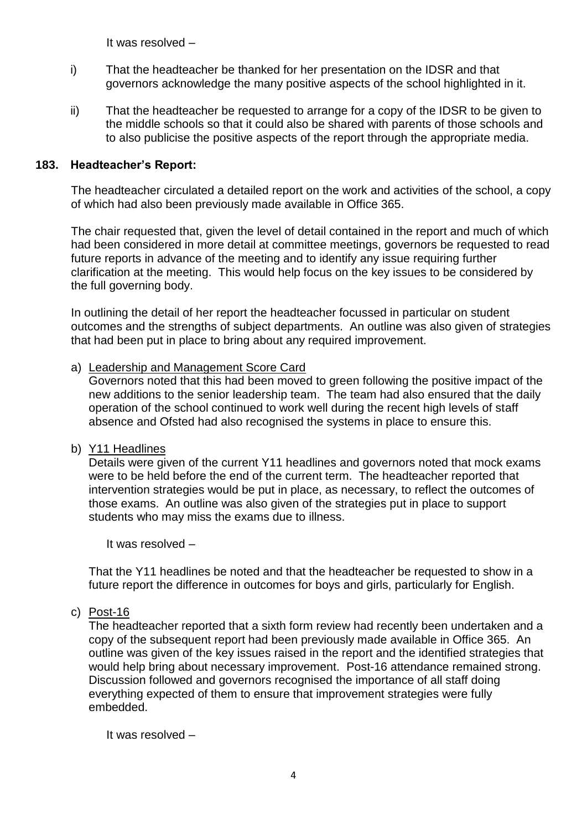It was resolved –

- i) That the headteacher be thanked for her presentation on the IDSR and that governors acknowledge the many positive aspects of the school highlighted in it.
- ii) That the headteacher be requested to arrange for a copy of the IDSR to be given to the middle schools so that it could also be shared with parents of those schools and to also publicise the positive aspects of the report through the appropriate media.

### **183. Headteacher's Report:**

The headteacher circulated a detailed report on the work and activities of the school, a copy of which had also been previously made available in Office 365.

The chair requested that, given the level of detail contained in the report and much of which had been considered in more detail at committee meetings, governors be requested to read future reports in advance of the meeting and to identify any issue requiring further clarification at the meeting. This would help focus on the key issues to be considered by the full governing body.

In outlining the detail of her report the headteacher focussed in particular on student outcomes and the strengths of subject departments. An outline was also given of strategies that had been put in place to bring about any required improvement.

a) Leadership and Management Score Card

Governors noted that this had been moved to green following the positive impact of the new additions to the senior leadership team. The team had also ensured that the daily operation of the school continued to work well during the recent high levels of staff absence and Ofsted had also recognised the systems in place to ensure this.

b) Y11 Headlines

Details were given of the current Y11 headlines and governors noted that mock exams were to be held before the end of the current term. The headteacher reported that intervention strategies would be put in place, as necessary, to reflect the outcomes of those exams. An outline was also given of the strategies put in place to support students who may miss the exams due to illness.

It was resolved –

That the Y11 headlines be noted and that the headteacher be requested to show in a future report the difference in outcomes for boys and girls, particularly for English.

c) Post-16

The headteacher reported that a sixth form review had recently been undertaken and a copy of the subsequent report had been previously made available in Office 365. An outline was given of the key issues raised in the report and the identified strategies that would help bring about necessary improvement. Post-16 attendance remained strong. Discussion followed and governors recognised the importance of all staff doing everything expected of them to ensure that improvement strategies were fully embedded.

It was resolved –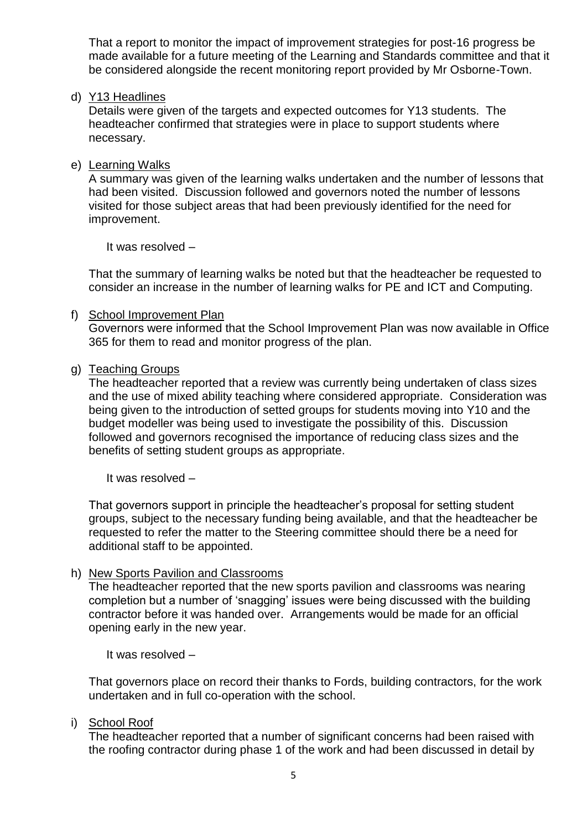That a report to monitor the impact of improvement strategies for post-16 progress be made available for a future meeting of the Learning and Standards committee and that it be considered alongside the recent monitoring report provided by Mr Osborne-Town.

#### d) Y13 Headlines

Details were given of the targets and expected outcomes for Y13 students. The headteacher confirmed that strategies were in place to support students where necessary.

#### e) Learning Walks

A summary was given of the learning walks undertaken and the number of lessons that had been visited. Discussion followed and governors noted the number of lessons visited for those subject areas that had been previously identified for the need for improvement.

It was resolved –

That the summary of learning walks be noted but that the headteacher be requested to consider an increase in the number of learning walks for PE and ICT and Computing.

#### f) School Improvement Plan

Governors were informed that the School Improvement Plan was now available in Office 365 for them to read and monitor progress of the plan.

# g) Teaching Groups

The headteacher reported that a review was currently being undertaken of class sizes and the use of mixed ability teaching where considered appropriate. Consideration was being given to the introduction of setted groups for students moving into Y10 and the budget modeller was being used to investigate the possibility of this. Discussion followed and governors recognised the importance of reducing class sizes and the benefits of setting student groups as appropriate.

It was resolved –

That governors support in principle the headteacher's proposal for setting student groups, subject to the necessary funding being available, and that the headteacher be requested to refer the matter to the Steering committee should there be a need for additional staff to be appointed.

### h) New Sports Pavilion and Classrooms

The headteacher reported that the new sports pavilion and classrooms was nearing completion but a number of 'snagging' issues were being discussed with the building contractor before it was handed over. Arrangements would be made for an official opening early in the new year.

It was resolved –

That governors place on record their thanks to Fords, building contractors, for the work undertaken and in full co-operation with the school.

# i) School Roof

The headteacher reported that a number of significant concerns had been raised with the roofing contractor during phase 1 of the work and had been discussed in detail by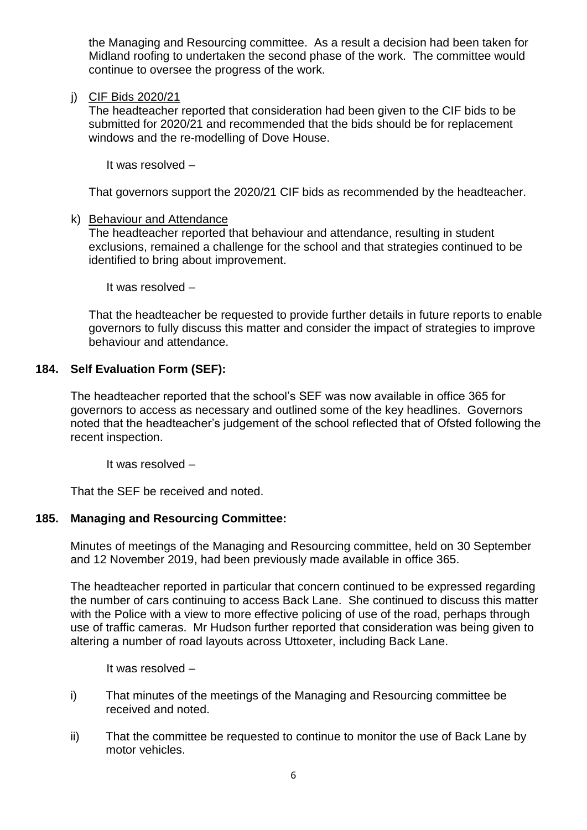the Managing and Resourcing committee. As a result a decision had been taken for Midland roofing to undertaken the second phase of the work. The committee would continue to oversee the progress of the work.

### j) CIF Bids 2020/21

The headteacher reported that consideration had been given to the CIF bids to be submitted for 2020/21 and recommended that the bids should be for replacement windows and the re-modelling of Dove House.

It was resolved –

That governors support the 2020/21 CIF bids as recommended by the headteacher.

### k) Behaviour and Attendance

The headteacher reported that behaviour and attendance, resulting in student exclusions, remained a challenge for the school and that strategies continued to be identified to bring about improvement.

It was resolved –

That the headteacher be requested to provide further details in future reports to enable governors to fully discuss this matter and consider the impact of strategies to improve behaviour and attendance.

### **184. Self Evaluation Form (SEF):**

The headteacher reported that the school's SEF was now available in office 365 for governors to access as necessary and outlined some of the key headlines. Governors noted that the headteacher's judgement of the school reflected that of Ofsted following the recent inspection.

It was resolved –

That the SEF be received and noted.

# **185. Managing and Resourcing Committee:**

Minutes of meetings of the Managing and Resourcing committee, held on 30 September and 12 November 2019, had been previously made available in office 365.

The headteacher reported in particular that concern continued to be expressed regarding the number of cars continuing to access Back Lane. She continued to discuss this matter with the Police with a view to more effective policing of use of the road, perhaps through use of traffic cameras. Mr Hudson further reported that consideration was being given to altering a number of road layouts across Uttoxeter, including Back Lane.

It was resolved –

- i) That minutes of the meetings of the Managing and Resourcing committee be received and noted.
- ii) That the committee be requested to continue to monitor the use of Back Lane by motor vehicles.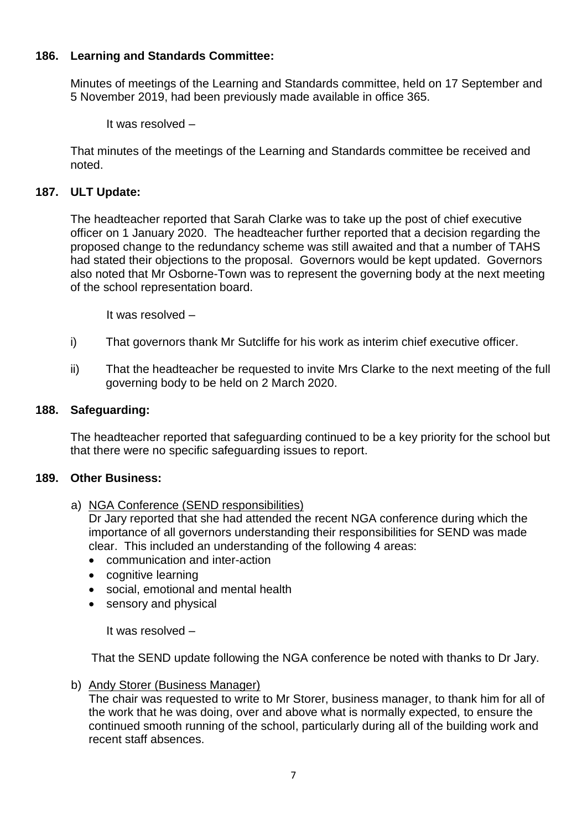### **186. Learning and Standards Committee:**

Minutes of meetings of the Learning and Standards committee, held on 17 September and 5 November 2019, had been previously made available in office 365.

It was resolved –

That minutes of the meetings of the Learning and Standards committee be received and noted.

# **187. ULT Update:**

The headteacher reported that Sarah Clarke was to take up the post of chief executive officer on 1 January 2020. The headteacher further reported that a decision regarding the proposed change to the redundancy scheme was still awaited and that a number of TAHS had stated their objections to the proposal. Governors would be kept updated. Governors also noted that Mr Osborne-Town was to represent the governing body at the next meeting of the school representation board.

It was resolved –

- i) That governors thank Mr Sutcliffe for his work as interim chief executive officer.
- ii) That the headteacher be requested to invite Mrs Clarke to the next meeting of the full governing body to be held on 2 March 2020.

#### **188. Safeguarding:**

The headteacher reported that safeguarding continued to be a key priority for the school but that there were no specific safeguarding issues to report.

### **189. Other Business:**

a) NGA Conference (SEND responsibilities)

Dr Jary reported that she had attended the recent NGA conference during which the importance of all governors understanding their responsibilities for SEND was made clear. This included an understanding of the following 4 areas:

- communication and inter-action
- cognitive learning
- social, emotional and mental health
- sensory and physical

It was resolved –

That the SEND update following the NGA conference be noted with thanks to Dr Jary.

b) Andy Storer (Business Manager)

The chair was requested to write to Mr Storer, business manager, to thank him for all of the work that he was doing, over and above what is normally expected, to ensure the continued smooth running of the school, particularly during all of the building work and recent staff absences.